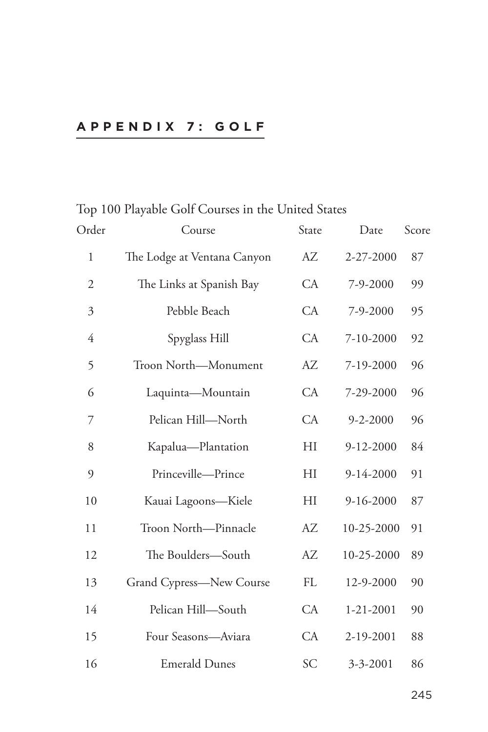## **A P P E N D I X 7 : G O L F**

## Top 100 Playable Golf Courses in the United States

| Order          | Course                      | State | Date            | Score |
|----------------|-----------------------------|-------|-----------------|-------|
| $\mathbf{1}$   | The Lodge at Ventana Canyon | AZ    | 2-27-2000       | 87    |
| $\overline{c}$ | The Links at Spanish Bay    | CA    | 7-9-2000        | 99    |
| 3              | Pebble Beach                | CA    | 7-9-2000        | 95    |
| 4              | Spyglass Hill               | CA    | 7-10-2000       | 92    |
| 5              | Troon North-Monument        | AZ    | 7-19-2000       | 96    |
| 6              | Laquinta-Mountain           | CA    | 7-29-2000       | 96    |
| 7              | Pelican Hill-North          | CA    | $9 - 2 - 2000$  | 96    |
| 8              | Kapalua-Plantation          | HI    | 9-12-2000       | 84    |
| 9              | Princeville-Prince          | HI    | $9 - 14 - 2000$ | 91    |
| 10             | Kauai Lagoons-Kiele         | HI    | $9 - 16 - 2000$ | 87    |
| 11             | Troon North-Pinnacle        | AZ    | 10-25-2000      | 91    |
| 12             | The Boulders-South          | AZ    | 10-25-2000      | 89    |
| 13             | Grand Cypress-New Course    | FL    | 12-9-2000       | 90    |
| 14             | Pelican Hill-South          | CA    | $1 - 21 - 2001$ | 90    |
| 15             | Four Seasons-Aviara         | CA    | 2-19-2001       | 88    |
| 16             | <b>Emerald Dunes</b>        | SC    | 3-3-2001        | 86    |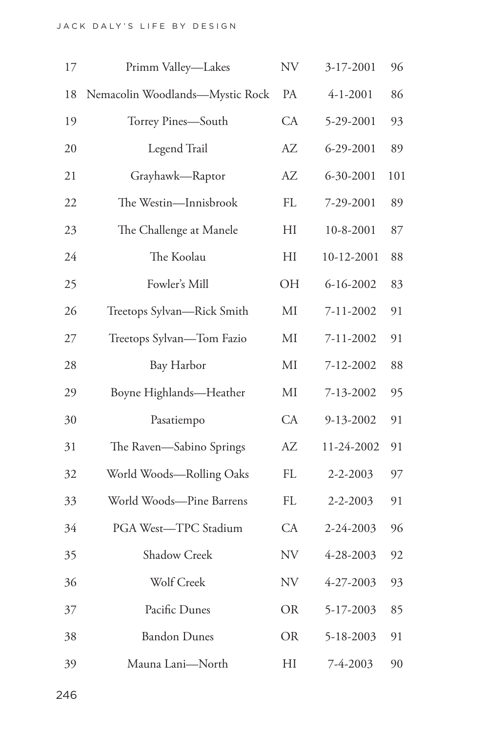| 17 | Primm Valley-Lakes              | <b>NV</b>  | 3-17-2001       | 96  |
|----|---------------------------------|------------|-----------------|-----|
| 18 | Nemacolin Woodlands-Mystic Rock | PA         | $4 - 1 - 2001$  | 86  |
| 19 | Torrey Pines-South              | CA         | 5-29-2001       | 93  |
| 20 | Legend Trail                    | AZ         | $6 - 29 - 2001$ | 89  |
| 21 | Grayhawk-Raptor                 | AZ         | 6-30-2001       | 101 |
| 22 | The Westin-Innisbrook           | FL         | 7-29-2001       | 89  |
| 23 | The Challenge at Manele         | HI         | 10-8-2001       | 87  |
| 24 | The Koolau                      | HI         | 10-12-2001      | 88  |
| 25 | Fowler's Mill                   | OH         | $6 - 16 - 2002$ | 83  |
| 26 | Treetops Sylvan-Rick Smith      | MI         | 7-11-2002       | 91  |
| 27 | Treetops Sylvan-Tom Fazio       | MI         | 7-11-2002       | 91  |
| 28 | Bay Harbor                      | MI         | 7-12-2002       | 88  |
| 29 | Boyne Highlands-Heather         | MI         | 7-13-2002       | 95  |
| 30 | Pasatiempo                      | CA         | 9-13-2002       | 91  |
| 31 | The Raven-Sabino Springs        | AZ         | 11-24-2002      | 91  |
| 32 | World Woods-Rolling Oaks        | FL         | 2-2-2003        | 97  |
| 33 | World Woods-Pine Barrens        | ${\rm FL}$ | 2-2-2003        | 91  |
| 34 | PGA West-TPC Stadium            | CA         | 2-24-2003       | 96  |
| 35 | Shadow Creek                    | NV         | 4-28-2003       | 92  |
| 36 | Wolf Creek                      | NV         | 4-27-2003       | 93  |
| 37 | Pacific Dunes                   | <b>OR</b>  | 5-17-2003       | 85  |
| 38 | <b>Bandon Dunes</b>             | <b>OR</b>  | 5-18-2003       | 91  |
| 39 | Mauna Lani-North                | HI         | 7-4-2003        | 90  |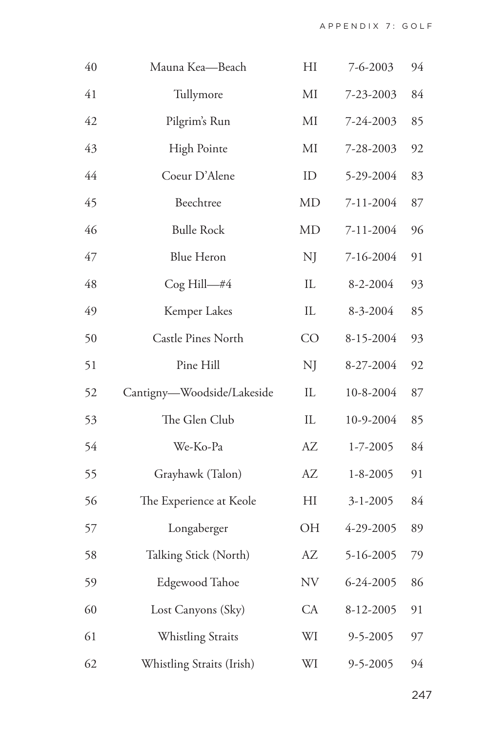| 40 | Mauna Kea-Beach            | HI          | 7-6-2003       | 94 |
|----|----------------------------|-------------|----------------|----|
| 41 | Tullymore                  | МI          | 7-23-2003      | 84 |
| 42 | Pilgrim's Run              | MI          | 7-24-2003      | 85 |
| 43 | <b>High Pointe</b>         | MI          | 7-28-2003      | 92 |
| 44 | Coeur D'Alene              | ID          | 5-29-2004      | 83 |
| 45 | Beechtree                  | MD          | 7-11-2004      | 87 |
| 46 | <b>Bulle Rock</b>          | MD          | 7-11-2004      | 96 |
| 47 | <b>Blue Heron</b>          | NJ          | 7-16-2004      | 91 |
| 48 | $Cog Hill$ $#4$            | IL          | 8-2-2004       | 93 |
| 49 | Kemper Lakes               | IL          | 8-3-2004       | 85 |
| 50 | Castle Pines North         | CO          | 8-15-2004      | 93 |
| 51 | Pine Hill                  | NJ          | 8-27-2004      | 92 |
| 52 | Cantigny-Woodside/Lakeside | $_{\rm IL}$ | 10-8-2004      | 87 |
| 53 | The Glen Club              | IL          | 10-9-2004      | 85 |
| 54 | We-Ko-Pa                   | AZ          | $1 - 7 - 2005$ | 84 |
| 55 | Grayhawk (Talon)           | AZ          | $1 - 8 - 2005$ | 91 |
| 56 | The Experience at Keole    | HI          | $3 - 1 - 2005$ | 84 |
| 57 | Longaberger                | OH          | 4-29-2005      | 89 |
| 58 | Talking Stick (North)      | AZ          | 5-16-2005      | 79 |
| 59 | Edgewood Tahoe             | NV          | 6-24-2005      | 86 |
| 60 | Lost Canyons (Sky)         | CA          | 8-12-2005      | 91 |
| 61 | Whistling Straits          | WI          | $9 - 5 - 2005$ | 97 |
| 62 | Whistling Straits (Irish)  | WI          | $9 - 5 - 2005$ | 94 |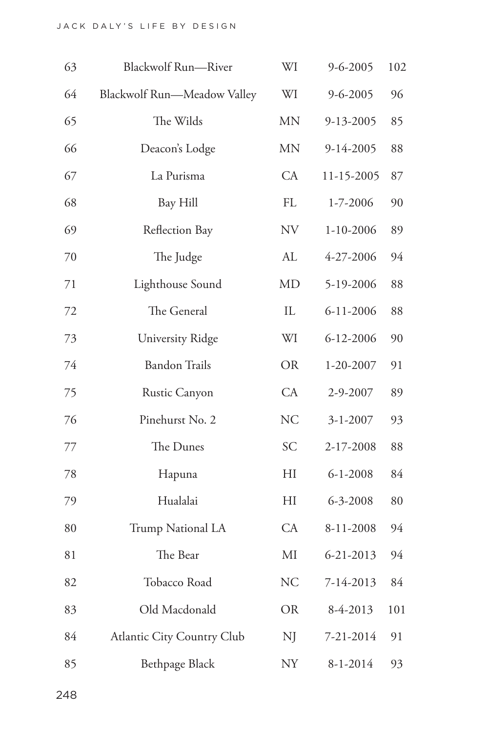| 63 | Blackwolf Run-River         | WI        | $9 - 6 - 2005$  | 102 |
|----|-----------------------------|-----------|-----------------|-----|
| 64 | Blackwolf Run-Meadow Valley | WI        | $9 - 6 - 2005$  | 96  |
| 65 | The Wilds                   | <b>MN</b> | 9-13-2005       | 85  |
| 66 | Deacon's Lodge              | <b>MN</b> | 9-14-2005       | 88  |
| 67 | La Purisma                  | CA        | 11-15-2005      | 87  |
| 68 | Bay Hill                    | <b>FL</b> | 1-7-2006        | 90  |
| 69 | Reflection Bay              | NV        | $1 - 10 - 2006$ | 89  |
| 70 | The Judge                   | AL        | 4-27-2006       | 94  |
| 71 | Lighthouse Sound            | <b>MD</b> | 5-19-2006       | 88  |
| 72 | The General                 | IL        | $6 - 11 - 2006$ | 88  |
| 73 | University Ridge            | WI        | $6 - 12 - 2006$ | 90  |
| 74 | <b>Bandon Trails</b>        | <b>OR</b> | 1-20-2007       | 91  |
| 75 | Rustic Canyon               | CA        | 2-9-2007        | 89  |
| 76 | Pinehurst No. 2             | NC        | $3 - 1 - 2007$  | 93  |
| 77 | The Dunes                   | SC        | 2-17-2008       | 88  |
| 78 | Hapuna                      | HI        | $6 - 1 - 2008$  | 84  |
| 79 | Hualalai                    | HI        | $6 - 3 - 2008$  | 80  |
| 80 | Trump National LA           | CA        | 8-11-2008       | 94  |
| 81 | The Bear                    | MI        | $6 - 21 - 2013$ | 94  |
| 82 | Tobacco Road                | <b>NC</b> | 7-14-2013       | 84  |
| 83 | Old Macdonald               | <b>OR</b> | 8-4-2013        | 101 |
| 84 | Atlantic City Country Club  | NJ        | 7-21-2014       | 91  |
| 85 | Bethpage Black              | NY        | $8 - 1 - 2014$  | 93  |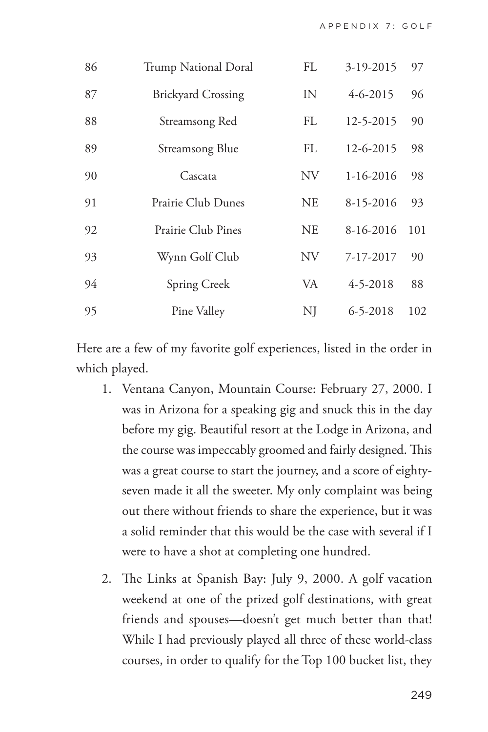| 86 | Trump National Doral      | FL        | 3-19-2015       | 97  |
|----|---------------------------|-----------|-----------------|-----|
| 87 | <b>Brickyard Crossing</b> | IN        | $4 - 6 - 2015$  | 96  |
| 88 | Streamsong Red            | FL        | 12-5-2015       | 90  |
| 89 | Streamsong Blue           | FL        | 12-6-2015       | 98  |
| 90 | Cascata                   | NV        | $1 - 16 - 2016$ | 98  |
| 91 | Prairie Club Dunes        | <b>NE</b> | 8-15-2016       | 93  |
| 92 | Prairie Club Pines        | <b>NE</b> | $8-16-2016$     | 101 |
| 93 | Wynn Golf Club            | NV        | 7-17-2017       | 90  |
| 94 | Spring Creek              | VA        | $4 - 5 - 2018$  | 88  |
| 95 | Pine Valley               | NJ        | $6 - 5 - 2018$  | 102 |

Here are a few of my favorite golf experiences, listed in the order in which played.

- 1. Ventana Canyon, Mountain Course: February 27, 2000. I was in Arizona for a speaking gig and snuck this in the day before my gig. Beautiful resort at the Lodge in Arizona, and the course was impeccably groomed and fairly designed. This was a great course to start the journey, and a score of eightyseven made it all the sweeter. My only complaint was being out there without friends to share the experience, but it was a solid reminder that this would be the case with several if I were to have a shot at completing one hundred.
- 2. The Links at Spanish Bay: July 9, 2000. A golf vacation weekend at one of the prized golf destinations, with great friends and spouses—doesn't get much better than that! While I had previously played all three of these world-class courses, in order to qualify for the Top 100 bucket list, they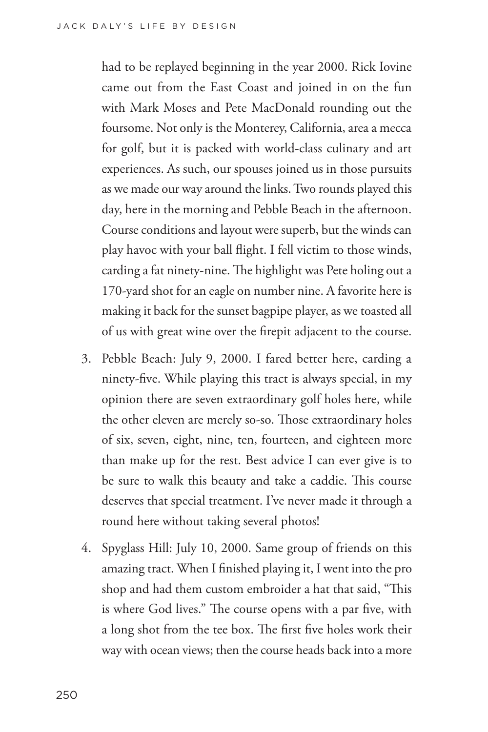had to be replayed beginning in the year 2000. Rick Iovine came out from the East Coast and joined in on the fun with Mark Moses and Pete MacDonald rounding out the foursome. Not only is the Monterey, California, area a mecca for golf, but it is packed with world-class culinary and art experiences. As such, our spouses joined us in those pursuits as we made our way around the links. Two rounds played this day, here in the morning and Pebble Beach in the afternoon. Course conditions and layout were superb, but the winds can play havoc with your ball flight. I fell victim to those winds, carding a fat ninety-nine. The highlight was Pete holing out a 170-yard shot for an eagle on number nine. A favorite here is making it back for the sunset bagpipe player, as we toasted all of us with great wine over the firepit adjacent to the course.

- 3. Pebble Beach: July 9, 2000. I fared better here, carding a ninety-five. While playing this tract is always special, in my opinion there are seven extraordinary golf holes here, while the other eleven are merely so-so. Those extraordinary holes of six, seven, eight, nine, ten, fourteen, and eighteen more than make up for the rest. Best advice I can ever give is to be sure to walk this beauty and take a caddie. This course deserves that special treatment. I've never made it through a round here without taking several photos!
- 4. Spyglass Hill: July 10, 2000. Same group of friends on this amazing tract. When I finished playing it, I went into the pro shop and had them custom embroider a hat that said, "This is where God lives." The course opens with a par five, with a long shot from the tee box. The first five holes work their way with ocean views; then the course heads back into a more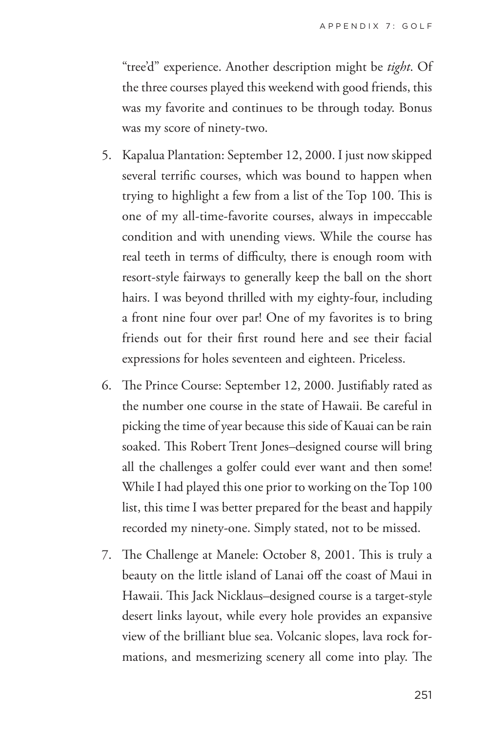"tree'd" experience. Another description might be *tight*. Of the three courses played this weekend with good friends, this was my favorite and continues to be through today. Bonus was my score of ninety-two.

- 5. Kapalua Plantation: September 12, 2000. I just now skipped several terrific courses, which was bound to happen when trying to highlight a few from a list of the Top 100. This is one of my all-time-favorite courses, always in impeccable condition and with unending views. While the course has real teeth in terms of difficulty, there is enough room with resort-style fairways to generally keep the ball on the short hairs. I was beyond thrilled with my eighty-four, including a front nine four over par! One of my favorites is to bring friends out for their first round here and see their facial expressions for holes seventeen and eighteen. Priceless.
- 6. The Prince Course: September 12, 2000. Justifiably rated as the number one course in the state of Hawaii. Be careful in picking the time of year because this side of Kauai can be rain soaked. This Robert Trent Jones–designed course will bring all the challenges a golfer could ever want and then some! While I had played this one prior to working on the Top 100 list, this time I was better prepared for the beast and happily recorded my ninety-one. Simply stated, not to be missed.
- 7. The Challenge at Manele: October 8, 2001. This is truly a beauty on the little island of Lanai off the coast of Maui in Hawaii. This Jack Nicklaus–designed course is a target-style desert links layout, while every hole provides an expansive view of the brilliant blue sea. Volcanic slopes, lava rock formations, and mesmerizing scenery all come into play. The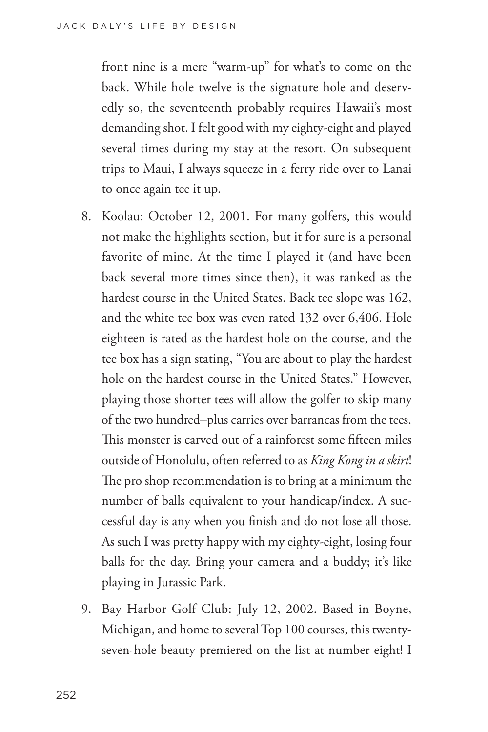front nine is a mere "warm-up" for what's to come on the back. While hole twelve is the signature hole and deservedly so, the seventeenth probably requires Hawaii's most demanding shot. I felt good with my eighty-eight and played several times during my stay at the resort. On subsequent trips to Maui, I always squeeze in a ferry ride over to Lanai to once again tee it up.

- 8. Koolau: October 12, 2001. For many golfers, this would not make the highlights section, but it for sure is a personal favorite of mine. At the time I played it (and have been back several more times since then), it was ranked as the hardest course in the United States. Back tee slope was 162, and the white tee box was even rated 132 over 6,406. Hole eighteen is rated as the hardest hole on the course, and the tee box has a sign stating, "You are about to play the hardest hole on the hardest course in the United States." However, playing those shorter tees will allow the golfer to skip many of the two hundred–plus carries over barrancas from the tees. This monster is carved out of a rainforest some fifteen miles outside of Honolulu, often referred to as *King Kong in a skirt*! The pro shop recommendation is to bring at a minimum the number of balls equivalent to your handicap/index. A successful day is any when you finish and do not lose all those. As such I was pretty happy with my eighty-eight, losing four balls for the day. Bring your camera and a buddy; it's like playing in Jurassic Park.
- 9. Bay Harbor Golf Club: July 12, 2002. Based in Boyne, Michigan, and home to several Top 100 courses, this twentyseven-hole beauty premiered on the list at number eight! I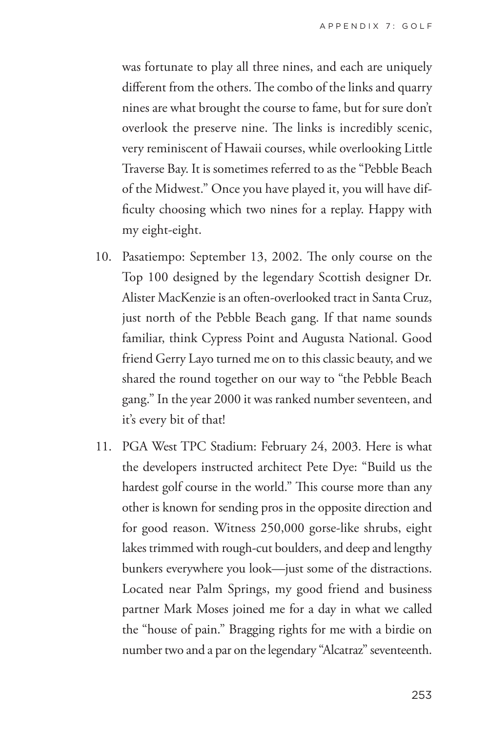was fortunate to play all three nines, and each are uniquely different from the others. The combo of the links and quarry nines are what brought the course to fame, but for sure don't overlook the preserve nine. The links is incredibly scenic, very reminiscent of Hawaii courses, while overlooking Little Traverse Bay. It is sometimes referred to as the "Pebble Beach of the Midwest." Once you have played it, you will have difficulty choosing which two nines for a replay. Happy with my eight-eight.

- 10. Pasatiempo: September 13, 2002. The only course on the Top 100 designed by the legendary Scottish designer Dr. Alister MacKenzie is an often-overlooked tract in Santa Cruz, just north of the Pebble Beach gang. If that name sounds familiar, think Cypress Point and Augusta National. Good friend Gerry Layo turned me on to this classic beauty, and we shared the round together on our way to "the Pebble Beach gang." In the year 2000 it was ranked number seventeen, and it's every bit of that!
- 11. PGA West TPC Stadium: February 24, 2003. Here is what the developers instructed architect Pete Dye: "Build us the hardest golf course in the world." This course more than any other is known for sending pros in the opposite direction and for good reason. Witness 250,000 gorse-like shrubs, eight lakes trimmed with rough-cut boulders, and deep and lengthy bunkers everywhere you look—just some of the distractions. Located near Palm Springs, my good friend and business partner Mark Moses joined me for a day in what we called the "house of pain." Bragging rights for me with a birdie on number two and a par on the legendary "Alcatraz" seventeenth.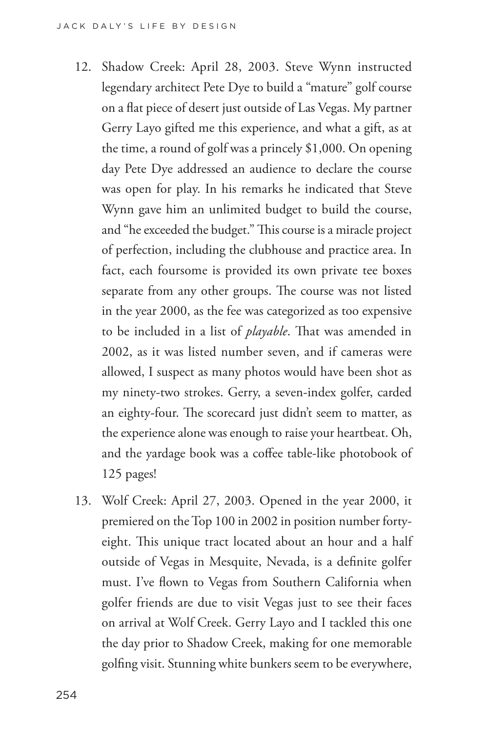- 12. Shadow Creek: April 28, 2003. Steve Wynn instructed legendary architect Pete Dye to build a "mature" golf course on a flat piece of desert just outside of Las Vegas. My partner Gerry Layo gifted me this experience, and what a gift, as at the time, a round of golf was a princely \$1,000. On opening day Pete Dye addressed an audience to declare the course was open for play. In his remarks he indicated that Steve Wynn gave him an unlimited budget to build the course, and "he exceeded the budget." This course is a miracle project of perfection, including the clubhouse and practice area. In fact, each foursome is provided its own private tee boxes separate from any other groups. The course was not listed in the year 2000, as the fee was categorized as too expensive to be included in a list of *playable*. That was amended in 2002, as it was listed number seven, and if cameras were allowed, I suspect as many photos would have been shot as my ninety-two strokes. Gerry, a seven-index golfer, carded an eighty-four. The scorecard just didn't seem to matter, as the experience alone was enough to raise your heartbeat. Oh, and the yardage book was a coffee table-like photobook of 125 pages!
- 13. Wolf Creek: April 27, 2003. Opened in the year 2000, it premiered on the Top 100 in 2002 in position number fortyeight. This unique tract located about an hour and a half outside of Vegas in Mesquite, Nevada, is a definite golfer must. I've flown to Vegas from Southern California when golfer friends are due to visit Vegas just to see their faces on arrival at Wolf Creek. Gerry Layo and I tackled this one the day prior to Shadow Creek, making for one memorable golfing visit. Stunning white bunkers seem to be everywhere,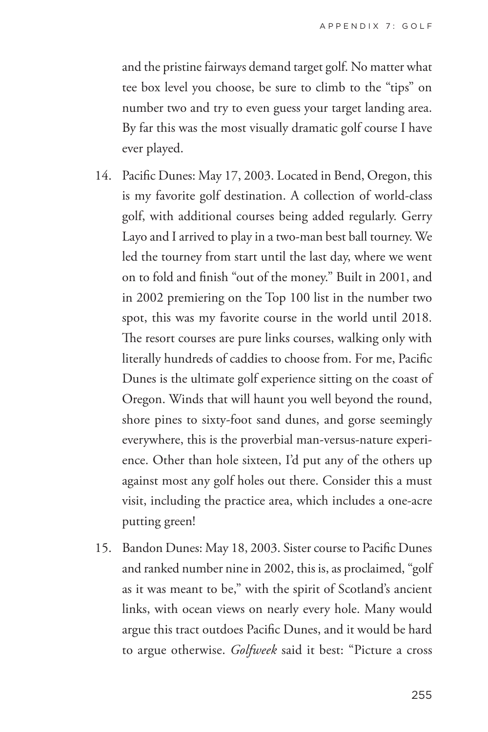and the pristine fairways demand target golf. No matter what tee box level you choose, be sure to climb to the "tips" on number two and try to even guess your target landing area. By far this was the most visually dramatic golf course I have ever played.

- 14. Pacific Dunes: May 17, 2003. Located in Bend, Oregon, this is my favorite golf destination. A collection of world-class golf, with additional courses being added regularly. Gerry Layo and I arrived to play in a two-man best ball tourney. We led the tourney from start until the last day, where we went on to fold and finish "out of the money." Built in 2001, and in 2002 premiering on the Top 100 list in the number two spot, this was my favorite course in the world until 2018. The resort courses are pure links courses, walking only with literally hundreds of caddies to choose from. For me, Pacific Dunes is the ultimate golf experience sitting on the coast of Oregon. Winds that will haunt you well beyond the round, shore pines to sixty-foot sand dunes, and gorse seemingly everywhere, this is the proverbial man-versus-nature experience. Other than hole sixteen, I'd put any of the others up against most any golf holes out there. Consider this a must visit, including the practice area, which includes a one-acre putting green!
- 15. Bandon Dunes: May 18, 2003. Sister course to Pacific Dunes and ranked number nine in 2002, this is, as proclaimed, "golf as it was meant to be," with the spirit of Scotland's ancient links, with ocean views on nearly every hole. Many would argue this tract outdoes Pacific Dunes, and it would be hard to argue otherwise. *Golfweek* said it best: "Picture a cross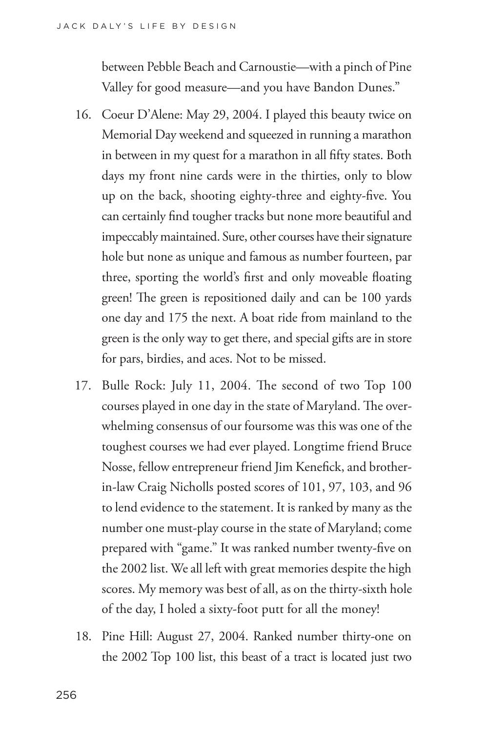between Pebble Beach and Carnoustie—with a pinch of Pine Valley for good measure—and you have Bandon Dunes."

- 16. Coeur D'Alene: May 29, 2004. I played this beauty twice on Memorial Day weekend and squeezed in running a marathon in between in my quest for a marathon in all fifty states. Both days my front nine cards were in the thirties, only to blow up on the back, shooting eighty-three and eighty-five. You can certainly find tougher tracks but none more beautiful and impeccably maintained. Sure, other courses have their signature hole but none as unique and famous as number fourteen, par three, sporting the world's first and only moveable floating green! The green is repositioned daily and can be 100 yards one day and 175 the next. A boat ride from mainland to the green is the only way to get there, and special gifts are in store for pars, birdies, and aces. Not to be missed.
- 17. Bulle Rock: July 11, 2004. The second of two Top 100 courses played in one day in the state of Maryland. The overwhelming consensus of our foursome was this was one of the toughest courses we had ever played. Longtime friend Bruce Nosse, fellow entrepreneur friend Jim Kenefick, and brotherin-law Craig Nicholls posted scores of 101, 97, 103, and 96 to lend evidence to the statement. It is ranked by many as the number one must-play course in the state of Maryland; come prepared with "game." It was ranked number twenty-five on the 2002 list. We all left with great memories despite the high scores. My memory was best of all, as on the thirty-sixth hole of the day, I holed a sixty-foot putt for all the money!
- 18. Pine Hill: August 27, 2004. Ranked number thirty-one on the 2002 Top 100 list, this beast of a tract is located just two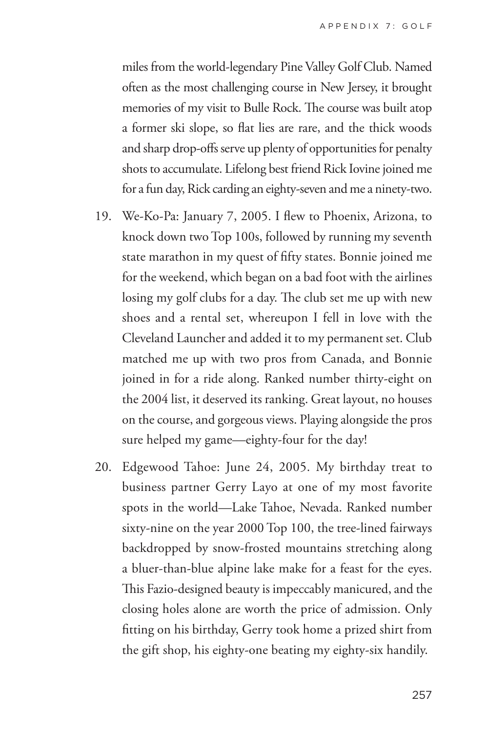miles from the world-legendary Pine Valley Golf Club. Named often as the most challenging course in New Jersey, it brought memories of my visit to Bulle Rock. The course was built atop a former ski slope, so flat lies are rare, and the thick woods and sharp drop-offs serve up plenty of opportunities for penalty shots to accumulate. Lifelong best friend Rick Iovine joined me for a fun day, Rick carding an eighty-seven and me a ninety-two.

- 19. We-Ko-Pa: January 7, 2005. I flew to Phoenix, Arizona, to knock down two Top 100s, followed by running my seventh state marathon in my quest of fifty states. Bonnie joined me for the weekend, which began on a bad foot with the airlines losing my golf clubs for a day. The club set me up with new shoes and a rental set, whereupon I fell in love with the Cleveland Launcher and added it to my permanent set. Club matched me up with two pros from Canada, and Bonnie joined in for a ride along. Ranked number thirty-eight on the 2004 list, it deserved its ranking. Great layout, no houses on the course, and gorgeous views. Playing alongside the pros sure helped my game—eighty-four for the day!
- 20. Edgewood Tahoe: June 24, 2005. My birthday treat to business partner Gerry Layo at one of my most favorite spots in the world—Lake Tahoe, Nevada. Ranked number sixty-nine on the year 2000 Top 100, the tree-lined fairways backdropped by snow-frosted mountains stretching along a bluer-than-blue alpine lake make for a feast for the eyes. This Fazio-designed beauty is impeccably manicured, and the closing holes alone are worth the price of admission. Only fitting on his birthday, Gerry took home a prized shirt from the gift shop, his eighty-one beating my eighty-six handily.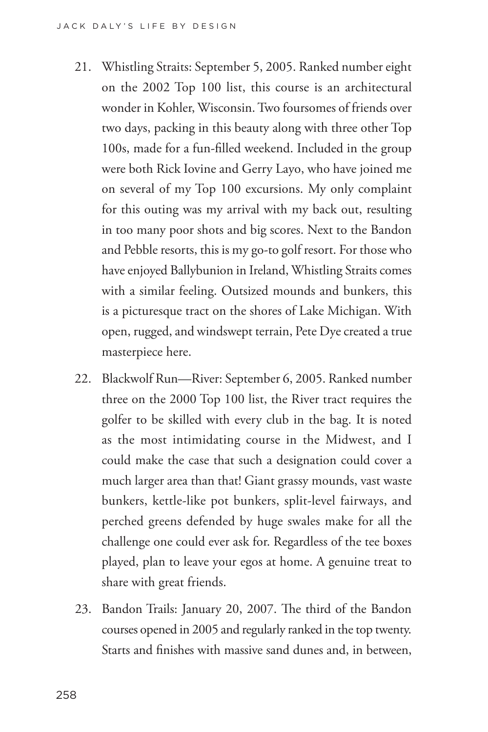- 21. Whistling Straits: September 5, 2005. Ranked number eight on the 2002 Top 100 list, this course is an architectural wonder in Kohler, Wisconsin. Two foursomes of friends over two days, packing in this beauty along with three other Top 100s, made for a fun-filled weekend. Included in the group were both Rick Iovine and Gerry Layo, who have joined me on several of my Top 100 excursions. My only complaint for this outing was my arrival with my back out, resulting in too many poor shots and big scores. Next to the Bandon and Pebble resorts, this is my go-to golf resort. For those who have enjoyed Ballybunion in Ireland, Whistling Straits comes with a similar feeling. Outsized mounds and bunkers, this is a picturesque tract on the shores of Lake Michigan. With open, rugged, and windswept terrain, Pete Dye created a true masterpiece here.
- 22. Blackwolf Run—River: September 6, 2005. Ranked number three on the 2000 Top 100 list, the River tract requires the golfer to be skilled with every club in the bag. It is noted as the most intimidating course in the Midwest, and I could make the case that such a designation could cover a much larger area than that! Giant grassy mounds, vast waste bunkers, kettle-like pot bunkers, split-level fairways, and perched greens defended by huge swales make for all the challenge one could ever ask for. Regardless of the tee boxes played, plan to leave your egos at home. A genuine treat to share with great friends.
- 23. Bandon Trails: January 20, 2007. The third of the Bandon courses opened in 2005 and regularly ranked in the top twenty. Starts and finishes with massive sand dunes and, in between,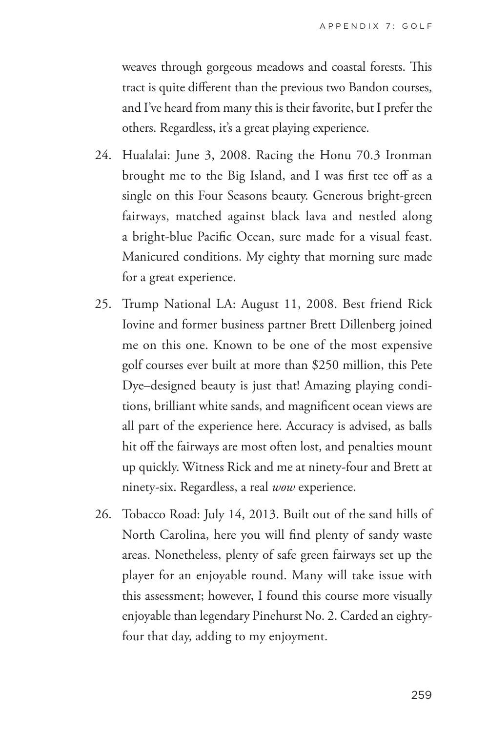weaves through gorgeous meadows and coastal forests. This tract is quite different than the previous two Bandon courses, and I've heard from many this is their favorite, but I prefer the others. Regardless, it's a great playing experience.

- 24. Hualalai: June 3, 2008. Racing the Honu 70.3 Ironman brought me to the Big Island, and I was first tee off as a single on this Four Seasons beauty. Generous bright-green fairways, matched against black lava and nestled along a bright-blue Pacific Ocean, sure made for a visual feast. Manicured conditions. My eighty that morning sure made for a great experience.
- 25. Trump National LA: August 11, 2008. Best friend Rick Iovine and former business partner Brett Dillenberg joined me on this one. Known to be one of the most expensive golf courses ever built at more than \$250 million, this Pete Dye–designed beauty is just that! Amazing playing conditions, brilliant white sands, and magnificent ocean views are all part of the experience here. Accuracy is advised, as balls hit off the fairways are most often lost, and penalties mount up quickly. Witness Rick and me at ninety-four and Brett at ninety-six. Regardless, a real *wow* experience.
- 26. Tobacco Road: July 14, 2013. Built out of the sand hills of North Carolina, here you will find plenty of sandy waste areas. Nonetheless, plenty of safe green fairways set up the player for an enjoyable round. Many will take issue with this assessment; however, I found this course more visually enjoyable than legendary Pinehurst No. 2. Carded an eightyfour that day, adding to my enjoyment.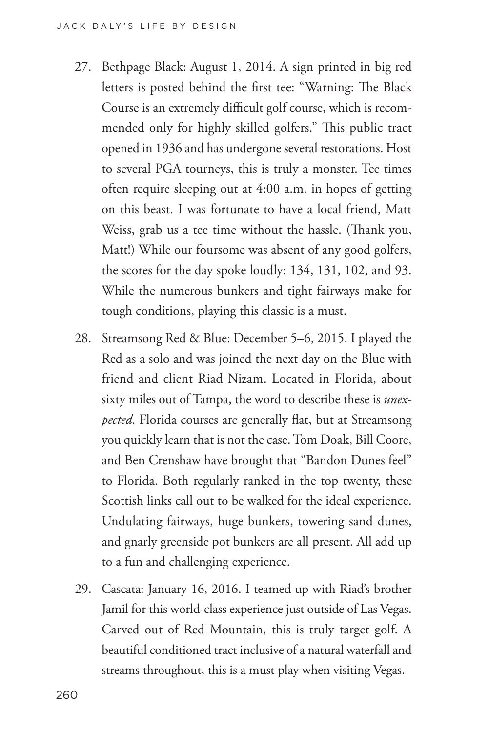- 27. Bethpage Black: August 1, 2014. A sign printed in big red letters is posted behind the first tee: "Warning: The Black Course is an extremely difficult golf course, which is recommended only for highly skilled golfers." This public tract opened in 1936 and has undergone several restorations. Host to several PGA tourneys, this is truly a monster. Tee times often require sleeping out at 4:00 a.m. in hopes of getting on this beast. I was fortunate to have a local friend, Matt Weiss, grab us a tee time without the hassle. (Thank you, Matt!) While our foursome was absent of any good golfers, the scores for the day spoke loudly: 134, 131, 102, and 93. While the numerous bunkers and tight fairways make for tough conditions, playing this classic is a must.
- 28. Streamsong Red & Blue: December 5–6, 2015. I played the Red as a solo and was joined the next day on the Blue with friend and client Riad Nizam. Located in Florida, about sixty miles out of Tampa, the word to describe these is *unexpected*. Florida courses are generally flat, but at Streamsong you quickly learn that is not the case. Tom Doak, Bill Coore, and Ben Crenshaw have brought that "Bandon Dunes feel" to Florida. Both regularly ranked in the top twenty, these Scottish links call out to be walked for the ideal experience. Undulating fairways, huge bunkers, towering sand dunes, and gnarly greenside pot bunkers are all present. All add up to a fun and challenging experience.
- 29. Cascata: January 16, 2016. I teamed up with Riad's brother Jamil for this world-class experience just outside of Las Vegas. Carved out of Red Mountain, this is truly target golf. A beautiful conditioned tract inclusive of a natural waterfall and streams throughout, this is a must play when visiting Vegas.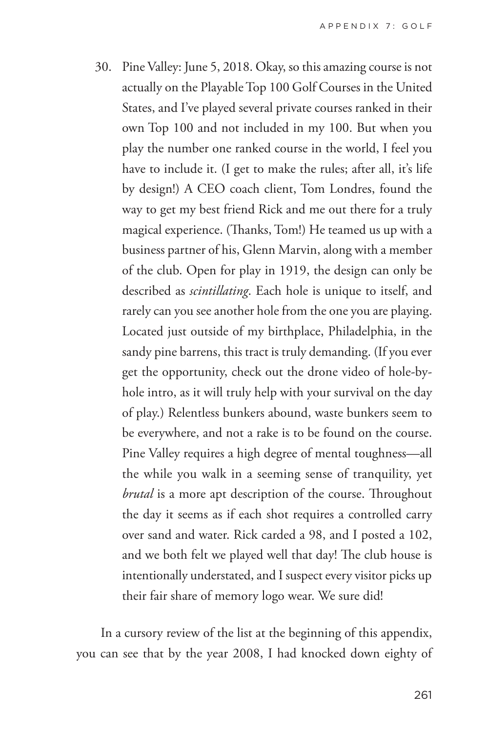30. Pine Valley: June 5, 2018. Okay, so this amazing course is not actually on the Playable Top 100 Golf Courses in the United States, and I've played several private courses ranked in their own Top 100 and not included in my 100. But when you play the number one ranked course in the world, I feel you have to include it. (I get to make the rules; after all, it's life by design!) A CEO coach client, Tom Londres, found the way to get my best friend Rick and me out there for a truly magical experience. (Thanks, Tom!) He teamed us up with a business partner of his, Glenn Marvin, along with a member of the club. Open for play in 1919, the design can only be described as *scintillating*. Each hole is unique to itself, and rarely can you see another hole from the one you are playing. Located just outside of my birthplace, Philadelphia, in the sandy pine barrens, this tract is truly demanding. (If you ever get the opportunity, check out the drone video of hole-byhole intro, as it will truly help with your survival on the day of play.) Relentless bunkers abound, waste bunkers seem to be everywhere, and not a rake is to be found on the course. Pine Valley requires a high degree of mental toughness—all the while you walk in a seeming sense of tranquility, yet *brutal* is a more apt description of the course. Throughout the day it seems as if each shot requires a controlled carry over sand and water. Rick carded a 98, and I posted a 102, and we both felt we played well that day! The club house is intentionally understated, and I suspect every visitor picks up their fair share of memory logo wear. We sure did!

In a cursory review of the list at the beginning of this appendix, you can see that by the year 2008, I had knocked down eighty of